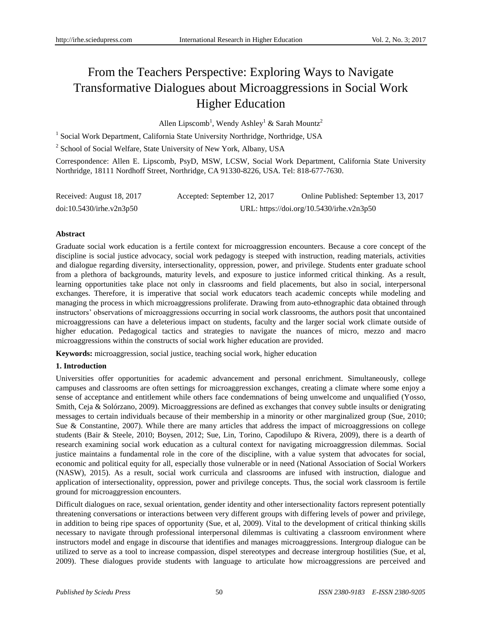# From the Teachers Perspective: Exploring Ways to Navigate Transformative Dialogues about Microaggressions in Social Work Higher Education

Allen Lipscomb<sup>1</sup>, Wendy Ashley<sup>1</sup> & Sarah Mountz<sup>2</sup>

<sup>1</sup> Social Work Department, California State University Northridge, Northridge, USA

<sup>2</sup> School of Social Welfare, State University of New York, Albany, USA

Correspondence: Allen E. Lipscomb, PsyD, MSW, LCSW, Social Work Department, California State University Northridge, 18111 Nordhoff Street, Northridge, CA 91330-8226, USA. Tel: 818-677-7630.

| Received: August 18, 2017 | Accepted: September 12, 2017              | Online Published: September 13, 2017 |
|---------------------------|-------------------------------------------|--------------------------------------|
| doi:10.5430/irhe.v2n3p50  | URL: https://doi.org/10.5430/irhe.v2n3p50 |                                      |

#### **Abstract**

Graduate social work education is a fertile context for microaggression encounters. Because a core concept of the discipline is social justice advocacy, social work pedagogy is steeped with instruction, reading materials, activities and dialogue regarding diversity, intersectionality, oppression, power, and privilege. Students enter graduate school from a plethora of backgrounds, maturity levels, and exposure to justice informed critical thinking. As a result, learning opportunities take place not only in classrooms and field placements, but also in social, interpersonal exchanges. Therefore, it is imperative that social work educators teach academic concepts while modeling and managing the process in which microaggressions proliferate. Drawing from auto-ethnographic data obtained through instructors' observations of microaggressions occurring in social work classrooms, the authors posit that uncontained microaggressions can have a deleterious impact on students, faculty and the larger social work climate outside of higher education. Pedagogical tactics and strategies to navigate the nuances of micro, mezzo and macro microaggressions within the constructs of social work higher education are provided.

**Keywords:** microaggression, social justice, teaching social work, higher education

## **1. Introduction**

Universities offer opportunities for academic advancement and personal enrichment. Simultaneously, college campuses and classrooms are often settings for microaggression exchanges, creating a climate where some enjoy a sense of acceptance and entitlement while others face condemnations of being unwelcome and unqualified (Yosso, Smith, Ceja & Solórzano, 2009). Microaggressions are defined as exchanges that convey subtle insults or denigrating messages to certain individuals because of their membership in a minority or other marginalized group (Sue, 2010; Sue & Constantine, 2007). While there are many articles that address the impact of microaggressions on college students (Bair & Steele, 2010; Boysen, 2012; Sue, Lin, Torino, Capodilupo & Rivera, 2009), there is a dearth of research examining social work education as a cultural context for navigating microaggression dilemmas. Social justice maintains a fundamental role in the core of the discipline, with a value system that advocates for social, economic and political equity for all, especially those vulnerable or in need (National Association of Social Workers (NASW), 2015). As a result, social work curricula and classrooms are infused with instruction, dialogue and application of intersectionality, oppression, power and privilege concepts. Thus, the social work classroom is fertile ground for microaggression encounters.

Difficult dialogues on race, sexual orientation, gender identity and other intersectionality factors represent potentially threatening conversations or interactions between very different groups with differing levels of power and privilege, in addition to being ripe spaces of opportunity (Sue, et al, 2009). Vital to the development of critical thinking skills necessary to navigate through professional interpersonal dilemmas is cultivating a classroom environment where instructors model and engage in discourse that identifies and manages microaggressions. Intergroup dialogue can be utilized to serve as a tool to increase compassion, dispel stereotypes and decrease intergroup hostilities (Sue, et al, 2009). These dialogues provide students with language to articulate how microaggressions are perceived and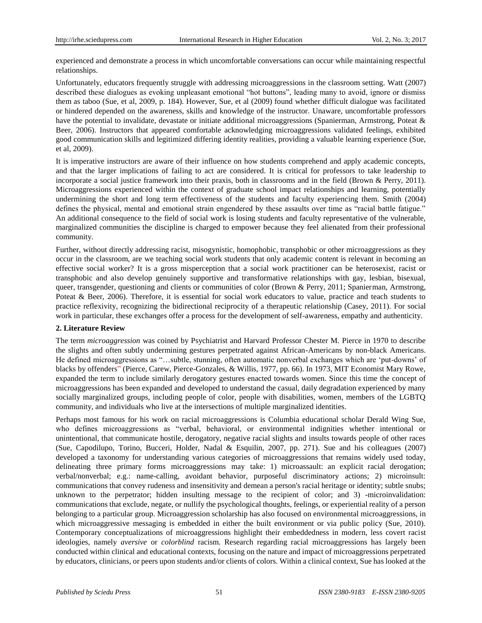experienced and demonstrate a process in which uncomfortable conversations can occur while maintaining respectful relationships.

Unfortunately, educators frequently struggle with addressing microaggressions in the classroom setting. Watt (2007) described these dialogues as evoking unpleasant emotional "hot buttons", leading many to avoid, ignore or dismiss them as taboo (Sue, et al, 2009, p. 184). However, Sue, et al (2009) found whether difficult dialogue was facilitated or hindered depended on the awareness, skills and knowledge of the instructor. Unaware, uncomfortable professors have the potential to invalidate, devastate or initiate additional microaggressions (Spanierman, Armstrong, Poteat & Beer, 2006). Instructors that appeared comfortable acknowledging microaggressions validated feelings, exhibited good communication skills and legitimized differing identity realities, providing a valuable learning experience (Sue, et al, 2009).

It is imperative instructors are aware of their influence on how students comprehend and apply academic concepts, and that the larger implications of failing to act are considered. It is critical for professors to take leadership to incorporate a social justice framework into their praxis, both in classrooms and in the field (Brown & Perry, 2011). Microaggressions experienced within the context of graduate school impact relationships and learning, potentially undermining the short and long term effectiveness of the students and faculty experiencing them. Smith (2004) defines the physical, mental and emotional strain engendered by these assaults over time as "racial battle fatigue." An additional consequence to the field of social work is losing students and faculty representative of the vulnerable, marginalized communities the discipline is charged to empower because they feel alienated from their professional community.

Further, without directly addressing racist, misogynistic, homophobic, transphobic or other microaggressions as they occur in the classroom, are we teaching social work students that only academic content is relevant in becoming an effective social worker? It is a gross misperception that a social work practitioner can be heterosexist, racist or transphobic and also develop genuinely supportive and transformative relationships with gay, lesbian, bisexual, queer, transgender, questioning and clients or communities of color (Brown & Perry, 2011; Spanierman, Armstrong, Poteat & Beer, 2006). Therefore, it is essential for social work educators to value, practice and teach students to practice reflexivity, recognizing the bidirectional reciprocity of a therapeutic relationship (Casey, 2011). For social work in particular, these exchanges offer a process for the development of self-awareness, empathy and authenticity.

#### **2. Literature Review**

The term *microaggression* was coined by Psychiatrist and Harvard Professor Chester M. Pierce in 1970 to describe the slights and often subtly undermining gestures perpetrated against African-Americans by non-black Americans. He defined microaggressions as "...subtle, stunning, often automatic nonverbal exchanges which are 'put-downs' of blacks by offenders" (Pierce, Carew, Pierce-Gonzales, & Willis, 1977, pp. 66). In 1973, MIT Economist Mary Rowe, expanded the term to include similarly derogatory gestures enacted towards women. Since this time the concept of microaggressions has been expanded and developed to understand the casual, daily degradation experienced by many socially marginalized groups, including people of color, people with disabilities, women, members of the LGBTQ community, and individuals who live at the intersections of multiple marginalized identities.

Perhaps most famous for his work on racial microaggressions is Columbia educational scholar Derald Wing Sue, who defines microaggressions as "verbal, behavioral, or environmental indignities whether intentional or unintentional, that communicate hostile, derogatory, negative racial slights and insults towards people of other races (Sue, Capodilupo, Torino, Bucceri, Holder, Nadal & Esquilin, 2007, pp. 271). Sue and his colleagues (2007) developed a taxonomy for understanding various categories of microaggressions that remains widely used today, delineating three primary forms microaggressions may take: 1) microassault: an explicit racial derogation; verbal/nonverbal; e.g.: name-calling, avoidant behavior, purposeful discriminatory actions; 2) microinsult: communications that convey rudeness and insensitivity and demean a person's racial heritage or identity; subtle snubs; unknown to the perpetrator; hidden insulting message to the recipient of color; and 3) -microinvalidation: communications that exclude, negate, or nullify the psychological thoughts, feelings, or experiential reality of a person belonging to a particular group. Microaggression scholarship has also focused on environmental microaggressions, in which microaggressive messaging is embedded in either the built environment or via public policy (Sue, 2010). Contemporary conceptualizations of microaggressions highlight their embeddedness in modern, less covert racist ideologies, namely *aversive* or *colorblind* racism. Research regarding racial microaggressions has largely been conducted within clinical and educational contexts, focusing on the nature and impact of microaggressions perpetrated by educators, clinicians, or peers upon students and/or clients of colors. Within a clinical context, Sue has looked at the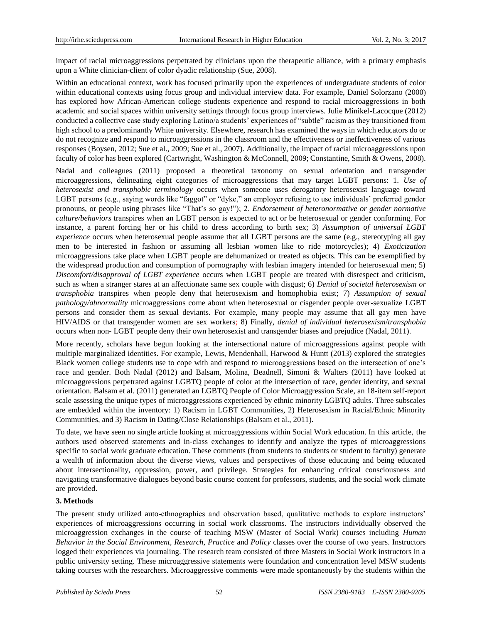impact of racial microaggressions perpetrated by clinicians upon the therapeutic alliance, with a primary emphasis upon a White clinician-client of color dyadic relationship (Sue, 2008).

Within an educational context, work has focused primarily upon the experiences of undergraduate students of color within educational contexts using focus group and individual interview data. For example, Daniel Solorzano (2000) has explored how African-American college students experience and respond to racial microaggressions in both academic and social spaces within university settings through focus group interviews. Julie Minikel-Lacocque (2012) conducted a collective case study exploring Latino/a students' experiences of "subtle" racism as they transitioned from high school to a predominantly White university. Elsewhere, research has examined the ways in which educators do or do not recognize and respond to microaggressions in the classroom and the effectiveness or ineffectiveness of various responses (Boysen, 2012; Sue et al., 2009; Sue et al., 2007). Additionally, the impact of racial microaggressions upon faculty of color has been explored (Cartwright, Washington & McConnell, 2009; Constantine, Smith & Owens, 2008).

Nadal and colleagues (2011) proposed a theoretical taxonomy on sexual orientation and transgender microaggressions, delineating eight categories of microaggressions that may target LGBT persons: 1. *Use of heterosexist and transphobic terminology* occurs when someone uses derogatory heterosexist language toward LGBT persons (e.g., saying words like "faggot" or "dyke," an employer refusing to use individuals' preferred gender pronouns, or people using phrases like "That's so gay!"); 2. *Endorsement of heteronormative or gender normative culture/behaviors* transpires when an LGBT person is expected to act or be heterosexual or gender conforming. For instance, a parent forcing her or his child to dress according to birth sex; 3) *Assumption of universal LGBT experience* occurs when heterosexual people assume that all LGBT persons are the same (e.g., stereotyping all gay men to be interested in fashion or assuming all lesbian women like to ride motorcycles); 4) *Exoticization*  microaggressions take place when LGBT people are dehumanized or treated as objects. This can be exemplified by the widespread production and consumption of pornography with lesbian imagery intended for heterosexual men; 5) *Discomfort/disapproval of LGBT experience* occurs when LGBT people are treated with disrespect and criticism, such as when a stranger stares at an affectionate same sex couple with disgust; 6) *Denial of societal heterosexism or transphobia* transpires when people deny that heterosexism and homophobia exist; 7) *Assumption of sexual pathology/abnormality* microaggressions come about when heterosexual or cisgender people over-sexualize LGBT persons and consider them as sexual deviants. For example, many people may assume that all gay men have HIV/AIDS or that transgender women are sex workers; 8) Finally, *denial of individual heterosexism*/*transphobia*  occurs when non- LGBT people deny their own heterosexist and transgender biases and prejudice (Nadal, 2011).

More recently, scholars have begun looking at the intersectional nature of microaggressions against people with multiple marginalized identities. For example, Lewis, Mendenhall, Harwood & Huntt (2013) explored the strategies Black women college students use to cope with and respond to microaggressions based on the intersection of one's race and gender. Both Nadal (2012) and Balsam, Molina, Beadnell, Simoni & Walters (2011) have looked at microaggressions perpetrated against LGBTQ people of color at the intersection of race, gender identity, and sexual orientation. Balsam et al. (2011) generated an LGBTQ People of Color Microaggression Scale, an 18-item self-report scale assessing the unique types of microaggressions experienced by ethnic minority LGBTQ adults. Three subscales are embedded within the inventory: 1) Racism in LGBT Communities, 2) Heterosexism in Racial/Ethnic Minority Communities, and 3) Racism in Dating/Close Relationships (Balsam et al., 2011).

To date, we have seen no single article looking at microaggressions within Social Work education. In this article, the authors used observed statements and in-class exchanges to identify and analyze the types of microaggressions specific to social work graduate education. These comments (from students to students or student to faculty) generate a wealth of information about the diverse views, values and perspectives of those educating and being educated about intersectionality, oppression, power, and privilege. Strategies for enhancing critical consciousness and navigating transformative dialogues beyond basic course content for professors, students, and the social work climate are provided.

#### **3. Methods**

The present study utilized auto-ethnographies and observation based, qualitative methods to explore instructors' experiences of microaggressions occurring in social work classrooms. The instructors individually observed the microaggression exchanges in the course of teaching MSW (Master of Social Work) courses including *Human Behavior in the Social Environment, Research, Practice* and *Policy* classes over the course of two years. Instructors logged their experiences via journaling. The research team consisted of three Masters in Social Work instructors in a public university setting. These microaggressive statements were foundation and concentration level MSW students taking courses with the researchers. Microaggressive comments were made spontaneously by the students within the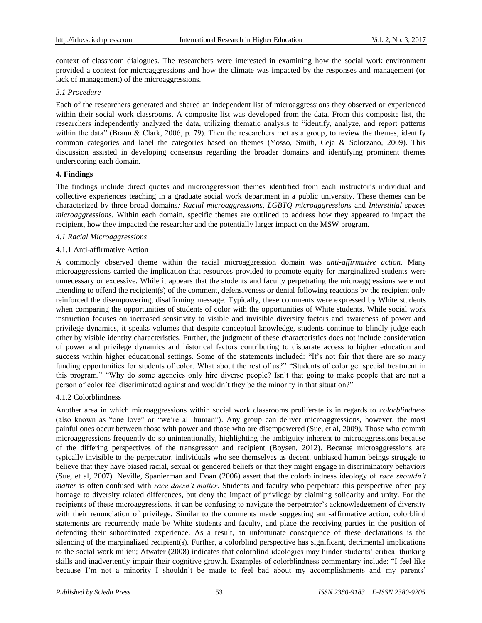context of classroom dialogues. The researchers were interested in examining how the social work environment provided a context for microaggressions and how the climate was impacted by the responses and management (or lack of management) of the microaggressions.

#### *3.1 Procedure*

Each of the researchers generated and shared an independent list of microaggressions they observed or experienced within their social work classrooms. A composite list was developed from the data. From this composite list, the researchers independently analyzed the data, utilizing thematic analysis to "identify, analyze, and report patterns within the data" (Braun & Clark, 2006, p. 79). Then the researchers met as a group, to review the themes, identify common categories and label the categories based on themes (Yosso, Smith, Ceja & Solorzano, 2009). This discussion assisted in developing consensus regarding the broader domains and identifying prominent themes underscoring each domain.

## **4. Findings**

The findings include direct quotes and microaggression themes identified from each instructor's individual and collective experiences teaching in a graduate social work department in a public university. These themes can be characterized by three broad domains*: Racial microaggressions, LGBTQ microaggressions* and *Interstitial spaces microaggressions*. Within each domain, specific themes are outlined to address how they appeared to impact the recipient, how they impacted the researcher and the potentially larger impact on the MSW program.

#### *4.1 Racial Microaggressions*

## 4.1.1 Anti-affirmative Action

A commonly observed theme within the racial microaggression domain was *anti-affirmative action*. Many microaggressions carried the implication that resources provided to promote equity for marginalized students were unnecessary or excessive. While it appears that the students and faculty perpetrating the microaggressions were not intending to offend the recipient(s) of the comment, defensiveness or denial following reactions by the recipient only reinforced the disempowering, disaffirming message. Typically, these comments were expressed by White students when comparing the opportunities of students of color with the opportunities of White students. While social work instruction focuses on increased sensitivity to visible and invisible diversity factors and awareness of power and privilege dynamics, it speaks volumes that despite conceptual knowledge, students continue to blindly judge each other by visible identity characteristics. Further, the judgment of these characteristics does not include consideration of power and privilege dynamics and historical factors contributing to disparate access to higher education and success within higher educational settings. Some of the statements included: "It's not fair that there are so many funding opportunities for students of color. What about the rest of us?" "Students of color get special treatment in this program." "Why do some agencies only hire diverse people? Isn't that going to make people that are not a person of color feel discriminated against and wouldn't they be the minority in that situation?"

#### 4.1.2 Colorblindness

Another area in which microaggressions within social work classrooms proliferate is in regards to *colorblindness* (also known as "one love" or "we're all human"). Any group can deliver microaggressions, however, the most painful ones occur between those with power and those who are disempowered (Sue, et al, 2009). Those who commit microaggressions frequently do so unintentionally, highlighting the ambiguity inherent to microaggressions because of the differing perspectives of the transgressor and recipient (Boysen, 2012). Because microaggressions are typically invisible to the perpetrator, individuals who see themselves as decent, unbiased human beings struggle to believe that they have biased racial, sexual or gendered beliefs or that they might engage in discriminatory behaviors (Sue, et al, 2007). Neville, Spanierman and Doan (2006) assert that the colorblindness ideology of *race shouldn't matter* is often confused with *race doesn't matter*. Students and faculty who perpetuate this perspective often pay homage to diversity related differences, but deny the impact of privilege by claiming solidarity and unity. For the recipients of these microaggressions, it can be confusing to navigate the perpetrator's acknowledgement of diversity with their renunciation of privilege. Similar to the comments made suggesting anti-affirmative action, colorblind statements are recurrently made by White students and faculty, and place the receiving parties in the position of defending their subordinated experience. As a result, an unfortunate consequence of these declarations is the silencing of the marginalized recipient(s). Further, a colorblind perspective has significant, detrimental implications to the social work milieu; Atwater (2008) indicates that colorblind ideologies may hinder students' critical thinking skills and inadvertently impair their cognitive growth. Examples of colorblindness commentary include: "I feel like because I'm not a minority I shouldn't be made to feel bad about my accomplishments and my parents'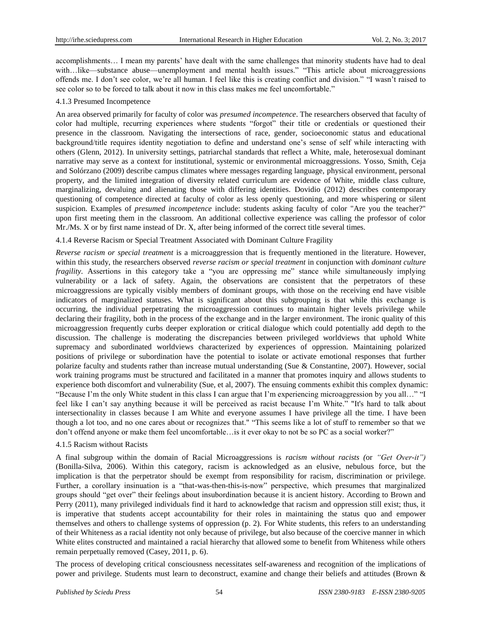accomplishments… I mean my parents' have dealt with the same challenges that minority students have had to deal with…like—substance abuse—unemployment and mental health issues." "This article about microaggressions offends me. I don't see color, we're all human. I feel like this is creating conflict and division." "I wasn't raised to see color so to be forced to talk about it now in this class makes me feel uncomfortable."

#### 4.1.3 Presumed Incompetence

An area observed primarily for faculty of color was *presumed incompetence*. The researchers observed that faculty of color had multiple, recurring experiences where students "forgot" their title or credentials or questioned their presence in the classroom. Navigating the intersections of race, gender, socioeconomic status and educational background/title requires identity negotiation to define and understand one's sense of self while interacting with others (Glenn, 2012). In university settings, patriarchal standards that reflect a White, male, heterosexual dominant narrative may serve as a context for institutional, systemic or environmental microaggressions. Yosso, Smith, Ceja and Solórzano (2009) describe campus climates where messages regarding language, physical environment, personal property, and the limited integration of diversity related curriculum are evidence of White, middle class culture, marginalizing, devaluing and alienating those with differing identities. Dovidio (2012) describes contemporary questioning of competence directed at faculty of color as less openly questioning, and more whispering or silent suspicion. Examples of *presumed incompetence* include: students asking faculty of color "Are you the teacher?" upon first meeting them in the classroom. An additional collective experience was calling the professor of color Mr./Ms. X or by first name instead of Dr. X, after being informed of the correct title several times.

#### 4.1.4 Reverse Racism or Special Treatment Associated with Dominant Culture Fragility

*Reverse racism or special treatment* is a microaggression that is frequently mentioned in the literature. However, within this study, the researchers observed *reverse racism or special treatment* in conjunction with *dominant culture fragility*. Assertions in this category take a "you are oppressing me" stance while simultaneously implying vulnerability or a lack of safety. Again, the observations are consistent that the perpetrators of these microaggressions are typically visibly members of dominant groups, with those on the receiving end have visible indicators of marginalized statuses. What is significant about this subgrouping is that while this exchange is occurring, the individual perpetrating the microaggression continues to maintain higher levels privilege while declaring their fragility, both in the process of the exchange and in the larger environment. The ironic quality of this microaggression frequently curbs deeper exploration or critical dialogue which could potentially add depth to the discussion. The challenge is moderating the discrepancies between privileged worldviews that uphold White supremacy and subordinated worldviews characterized by experiences of oppression. Maintaining polarized positions of privilege or subordination have the potential to isolate or activate emotional responses that further polarize faculty and students rather than increase mutual understanding (Sue & Constantine, 2007). However, social work training programs must be structured and facilitated in a manner that promotes inquiry and allows students to experience both discomfort and vulnerability (Sue, et al, 2007). The ensuing comments exhibit this complex dynamic: "Because I'm the only White student in this class I can argue that I'm experiencing microaggression by you all…" "I feel like I can't say anything because it will be perceived as racist because I'm White." "It's hard to talk about intersectionality in classes because I am White and everyone assumes I have privilege all the time. I have been though a lot too, and no one cares about or recognizes that." "This seems like a lot of stuff to remember so that we don't offend anyone or make them feel uncomfortable... is it ever okay to not be so PC as a social worker?"

#### 4.1.5 Racism without Racists

A final subgroup within the domain of Racial Microaggressions is *racism without racists (*or *"Get Over-it")* (Bonilla-Silva, 2006). Within this category, racism is acknowledged as an elusive, nebulous force, but the implication is that the perpetrator should be exempt from responsibility for racism, discrimination or privilege. Further, a corollary insinuation is a "that-was-then-this-is-now" perspective, which presumes that marginalized groups should "get over" their feelings about insubordination because it is ancient history. According to Brown and Perry (2011), many privileged individuals find it hard to acknowledge that racism and oppression still exist; thus, it is imperative that students accept accountability for their roles in maintaining the status quo and empower themselves and others to challenge systems of oppression (p. 2). For White students, this refers to an understanding of their Whiteness as a racial identity not only because of privilege, but also because of the coercive manner in which White elites constructed and maintained a racial hierarchy that allowed some to benefit from Whiteness while others remain perpetually removed (Casey, 2011, p. 6).

The process of developing critical consciousness necessitates self-awareness and recognition of the implications of power and privilege. Students must learn to deconstruct, examine and change their beliefs and attitudes (Brown &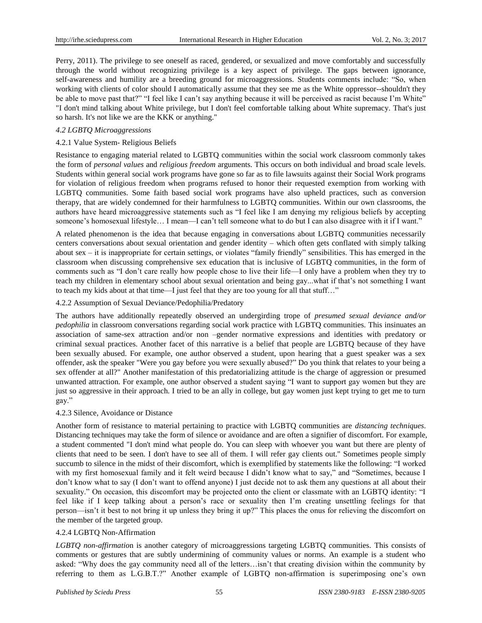Perry, 2011). The privilege to see oneself as raced, gendered, or sexualized and move comfortably and successfully through the world without recognizing privilege is a key aspect of privilege. The gaps between ignorance, self-awareness and humility are a breeding ground for microaggressions. Students comments include: "So, when working with clients of color should I automatically assume that they see me as the White oppressor--shouldn't they be able to move past that?" "I feel like I can't say anything because it will be perceived as racist because I'm White" "I don't mind talking about White privilege, but I don't feel comfortable talking about White supremacy. That's just so harsh. It's not like we are the KKK or anything."

#### *4.2 LGBTQ Microaggressions*

## 4.2.1 Value System- Religious Beliefs

Resistance to engaging material related to LGBTQ communities within the social work classroom commonly takes the form of *personal values* and *religious freedom* arguments. This occurs on both individual and broad scale levels. Students within general social work programs have gone so far as to file lawsuits against their Social Work programs for violation of religious freedom when programs refused to honor their requested exemption from working with LGBTQ communities. Some faith based social work programs have also upheld practices, such as conversion therapy, that are widely condemned for their harmfulness to LGBTQ communities. Within our own classrooms, the authors have heard microaggressive statements such as "I feel like I am denying my religious beliefs by accepting someone's homosexual lifestyle... I mean—I can't tell someone what to do but I can also disagree with it if I want."

A related phenomenon is the idea that because engaging in conversations about LGBTQ communities necessarily centers conversations about sexual orientation and gender identity – which often gets conflated with simply talking about sex – it is inappropriate for certain settings, or violates "family friendly" sensibilities. This has emerged in the classroom when discussing comprehensive sex education that is inclusive of LGBTQ communities, in the form of comments such as "I don't care really how people chose to live their life—I only have a problem when they try to teach my children in elementary school about sexual orientation and being gay...what if that's not something I want to teach my kids about at that time—I just feel that they are too young for all that stuff..."

#### 4.2.2 Assumption of Sexual Deviance/Pedophilia/Predatory

The authors have additionally repeatedly observed an undergirding trope of *presumed sexual deviance and/or pedophilia* in classroom conversations regarding social work practice with LGBTQ communities. This insinuates an association of same-sex attraction and/or non –gender normative expressions and identities with predatory or criminal sexual practices. Another facet of this narrative is a belief that people are LGBTQ because of they have been sexually abused. For example, one author observed a student, upon hearing that a guest speaker was a sex offender, ask the speaker "Were you gay before you were sexually abused?‖ Do you think that relates to your being a sex offender at all?" Another manifestation of this predatorializing attitude is the charge of aggression or presumed unwanted attraction. For example, one author observed a student saying "I want to support gay women but they are just so aggressive in their approach. I tried to be an ally in college, but gay women just kept trying to get me to turn gay.‖

#### 4.2.3 Silence, Avoidance or Distance

Another form of resistance to material pertaining to practice with LGBTQ communities are *distancing techniques*. Distancing techniques may take the form of silence or avoidance and are often a signifier of discomfort. For example, a student commented "I don't mind what people do. You can sleep with whoever you want but there are plenty of clients that need to be seen. I don't have to see all of them. I will refer gay clients out." Sometimes people simply succumb to silence in the midst of their discomfort, which is exemplified by statements like the following: "I worked with my first homosexual family and it felt weird because I didn't know what to say," and "Sometimes, because I don't know what to say (I don't want to offend anyone) I just decide not to ask them any questions at all about their sexuality." On occasion, this discomfort may be projected onto the client or classmate with an LGBTQ identity: "I feel like if I keep talking about a person's race or sexuality then I'm creating unsettling feelings for that person—isn't it best to not bring it up unless they bring it up?‖ This places the onus for relieving the discomfort on the member of the targeted group.

# 4.2.4 LGBTQ Non-Affirmation

*LGBTQ non-affirmatio*n is another category of microaggressions targeting LGBTQ communities. This consists of comments or gestures that are subtly undermining of community values or norms. An example is a student who asked: "Why does the gay community need all of the letters...isn't that creating division within the community by referring to them as L.G.B.T.?" Another example of LGBTQ non-affirmation is superimposing one's own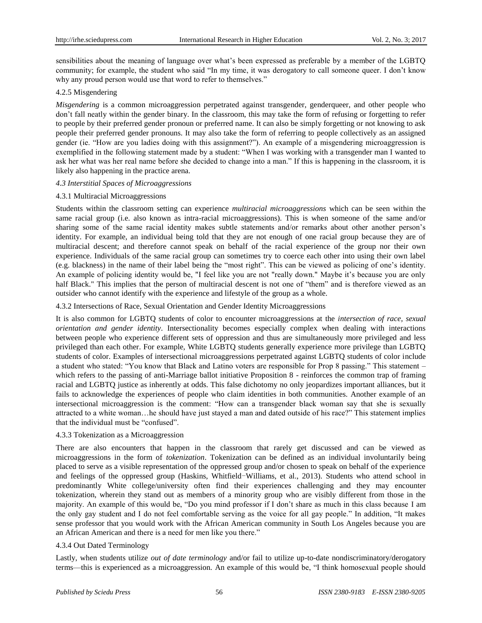sensibilities about the meaning of language over what's been expressed as preferable by a member of the LGBTQ community; for example, the student who said "In my time, it was derogatory to call someone queer. I don't know why any proud person would use that word to refer to themselves."

# 4.2.5 Misgendering

*Misgendering* is a common microaggression perpetrated against transgender, genderqueer, and other people who don't fall neatly within the gender binary. In the classroom, this may take the form of refusing or forgetting to refer to people by their preferred gender pronoun or preferred name. It can also be simply forgetting or not knowing to ask people their preferred gender pronouns. It may also take the form of referring to people collectively as an assigned gender (ie. "How are you ladies doing with this assignment?"). An example of a misgendering microaggression is exemplified in the following statement made by a student: "When I was working with a transgender man I wanted to ask her what was her real name before she decided to change into a man." If this is happening in the classroom, it is likely also happening in the practice arena.

## *4.3 Interstitial Spaces of Microaggressions*

## 4.3.1 Multiracial Microaggressions

Students within the classroom setting can experience *multiracial microaggressions* which can be seen within the same racial group (i.e. also known as intra-racial microaggressions). This is when someone of the same and/or sharing some of the same racial identity makes subtle statements and/or remarks about other another person's identity. For example, an individual being told that they are not enough of one racial group because they are of multiracial descent; and therefore cannot speak on behalf of the racial experience of the group nor their own experience. Individuals of the same racial group can sometimes try to coerce each other into using their own label (e.g. blackness) in the name of their label being the "most right". This can be viewed as policing of one's identity. An example of policing identity would be, "I feel like you are not "really down." Maybe it's because you are only half Black." This implies that the person of multiracial descent is not one of "them" and is therefore viewed as an outsider who cannot identify with the experience and lifestyle of the group as a whole.

## 4.3.2 Intersections of Race, Sexual Orientation and Gender Identity Microaggressions

It is also common for LGBTQ students of color to encounter microaggressions at the *intersection of race, sexual orientation and gender identity*. Intersectionality becomes especially complex when dealing with interactions between people who experience different sets of oppression and thus are simultaneously more privileged and less privileged than each other. For example, White LGBTQ students generally experience more privilege than LGBTQ students of color. Examples of intersectional microaggressions perpetrated against LGBTQ students of color include a student who stated: "You know that Black and Latino voters are responsible for Prop 8 passing." This statement – which refers to the passing of anti-Marriage ballot initiative Proposition 8 - reinforces the common trap of framing racial and LGBTQ justice as inherently at odds. This false dichotomy no only jeopardizes important alliances, but it fails to acknowledge the experiences of people who claim identities in both communities. Another example of an intersectional microaggression is the comment: "How can a transgender black woman say that she is sexually attracted to a white woman...he should have just stayed a man and dated outside of his race?" This statement implies that the individual must be "confused".

# 4.3.3 Tokenization as a Microaggression

There are also encounters that happen in the classroom that rarely get discussed and can be viewed as microaggressions in the form of *tokenization*. Tokenization can be defined as an individual involuntarily being placed to serve as a visible representation of the oppressed group and/or chosen to speak on behalf of the experience and feelings of the oppressed group (Haskins, Whitfield-Williams, et al., 2013). Students who attend school in predominantly White college/university often find their experiences challenging and they may encounter tokenization, wherein they stand out as members of a minority group who are visibly different from those in the majority. An example of this would be, "Do you mind professor if I don't share as much in this class because I am the only gay student and I do not feel comfortable serving as the voice for all gay people." In addition, "It makes sense professor that you would work with the African American community in South Los Angeles because you are an African American and there is a need for men like you there."

#### 4.3.4 Out Dated Terminology

Lastly, when students utilize *out of date terminology* and/or fail to utilize up-to-date nondiscriminatory/derogatory terms—this is experienced as a microaggression. An example of this would be, "I think homosexual people should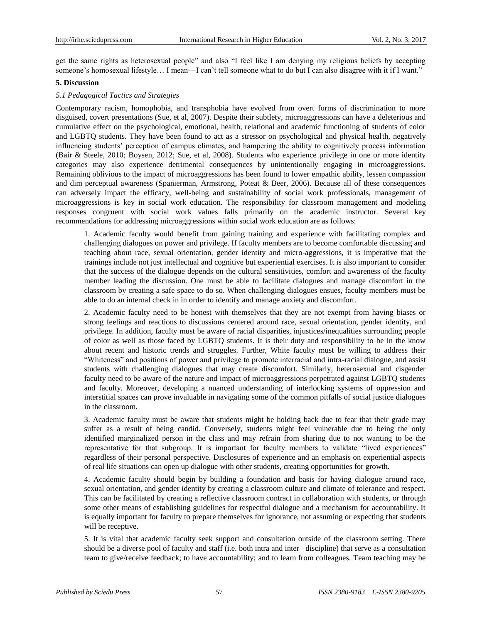get the same rights as heterosexual people" and also "I feel like I am denying my religious beliefs by accepting someone's homosexual lifestyle... I mean—I can't tell someone what to do but I can also disagree with it if I want."

#### **5. Discussion**

#### *5.1 Pedagogical Tactics and Strategies*

Contemporary racism, homophobia, and transphobia have evolved from overt forms of discrimination to more disguised, covert presentations (Sue, et al, 2007). Despite their subtlety, microaggressions can have a deleterious and cumulative effect on the psychological, emotional, health, relational and academic functioning of students of color and LGBTQ students. They have been found to act as a stressor on psychological and physical health, negatively influencing students' perception of campus climates, and hampering the ability to cognitively process information (Bair & Steele, 2010; Boysen, 2012; Sue, et al, 2008). Students who experience privilege in one or more identity categories may also experience detrimental consequences by unintentionally engaging in microaggressions. Remaining oblivious to the impact of microaggressions has been found to lower empathic ability, lessen compassion and dim perceptual awareness (Spanierman, Armstrong, Poteat & Beer, 2006). Because all of these consequences can adversely impact the efficacy, well-being and sustainability of social work professionals, management of microaggressions is key in social work education. The responsibility for classroom management and modeling responses congruent with social work values falls primarily on the academic instructor. Several key recommendations for addressing microaggressions within social work education are as follows:

1. Academic faculty would benefit from gaining training and experience with facilitating complex and challenging dialogues on power and privilege. If faculty members are to become comfortable discussing and teaching about race, sexual orientation, gender identity and micro-aggressions, it is imperative that the trainings include not just intellectual and cognitive but experiential exercises. It is also important to consider that the success of the dialogue depends on the cultural sensitivities, comfort and awareness of the faculty member leading the discussion. One must be able to facilitate dialogues and manage discomfort in the classroom by creating a safe space to do so. When challenging dialogues ensues, faculty members must be able to do an internal check in in order to identify and manage anxiety and discomfort.

2. Academic faculty need to be honest with themselves that they are not exempt from having biases or strong feelings and reactions to discussions centered around race, sexual orientation, gender identity, and privilege. In addition, faculty must be aware of racial disparities, injustices/inequalities surrounding people of color as well as those faced by LGBTQ students. It is their duty and responsibility to be in the know about recent and historic trends and struggles. Further, White faculty must be willing to address their ―Whiteness‖ and positions of power and privilege to promote interracial and intra-racial dialogue, and assist students with challenging dialogues that may create discomfort. Similarly, heterosexual and cisgender faculty need to be aware of the nature and impact of microaggressions perpetrated against LGBTQ students and faculty. Moreover, developing a nuanced understanding of interlocking systems of oppression and interstitial spaces can prove invaluable in navigating some of the common pitfalls of social justice dialogues in the classroom.

3. Academic faculty must be aware that students might be holding back due to fear that their grade may suffer as a result of being candid. Conversely, students might feel vulnerable due to being the only identified marginalized person in the class and may refrain from sharing due to not wanting to be the representative for that subgroup. It is important for faculty members to validate "lived experiences" regardless of their personal perspective. Disclosures of experience and an emphasis on experiential aspects of real life situations can open up dialogue with other students, creating opportunities for growth.

4. Academic faculty should begin by building a foundation and basis for having dialogue around race, sexual orientation, and gender identity by creating a classroom culture and climate of tolerance and respect. This can be facilitated by creating a reflective classroom contract in collaboration with students, or through some other means of establishing guidelines for respectful dialogue and a mechanism for accountability. It is equally important for faculty to prepare themselves for ignorance, not assuming or expecting that students will be receptive.

5. It is vital that academic faculty seek support and consultation outside of the classroom setting. There should be a diverse pool of faculty and staff (i.e. both intra and inter –discipline) that serve as a consultation team to give/receive feedback; to have accountability; and to learn from colleagues. Team teaching may be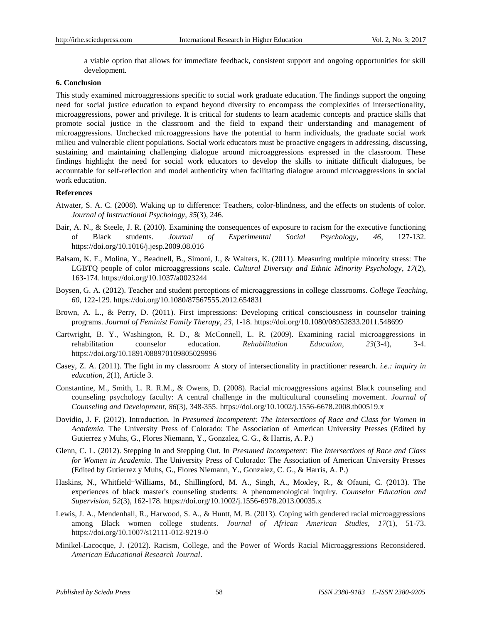a viable option that allows for immediate feedback, consistent support and ongoing opportunities for skill development.

#### **6. Conclusion**

This study examined microaggressions specific to social work graduate education. The findings support the ongoing need for social justice education to expand beyond diversity to encompass the complexities of intersectionality, microaggressions, power and privilege. It is critical for students to learn academic concepts and practice skills that promote social justice in the classroom and the field to expand their understanding and management of microaggressions. Unchecked microaggressions have the potential to harm individuals, the graduate social work milieu and vulnerable client populations. Social work educators must be proactive engagers in addressing, discussing, sustaining and maintaining challenging dialogue around microaggressions expressed in the classroom. These findings highlight the need for social work educators to develop the skills to initiate difficult dialogues, be accountable for self-reflection and model authenticity when facilitating dialogue around microaggressions in social work education.

#### **References**

- Atwater, S. A. C. (2008). Waking up to difference: Teachers, color-blindness, and the effects on students of color. *Journal of Instructional Psychology*, *35*(3), 246.
- Bair, A. N., & Steele, J. R. (2010). Examining the consequences of exposure to racism for the executive functioning of Black students. *Journal of Experimental Social Psychology*, *46,* 127-132. https://doi.org/10.1016/j.jesp.2009.08.016
- Balsam, K. F., Molina, Y., Beadnell, B., Simoni, J., & Walters, K. (2011). Measuring multiple minority stress: The LGBTQ people of color microaggressions scale. *Cultural Diversity and Ethnic Minority Psychology*, *17*(2), 163-174. https://doi.org/10.1037/a0023244
- Boysen, G. A. (2012). Teacher and student perceptions of microaggressions in college classrooms. *College Teaching*, *60*, 122-129. https://doi.org/10.1080/87567555.2012.654831
- Brown, A. L., & Perry, D. (2011). First impressions: Developing critical consciousness in counselor training programs. *Journal of Feminist Family Therapy*, *23*, 1-18. https://doi.org/10.1080/08952833.2011.548699
- Cartwright, B. Y., Washington, R. D., & McConnell, L. R. (2009). Examining racial microaggressions in rehabilitation counselor education. *Rehabilitation Education*, *23*(3-4), 3-4. https://doi.org/10.1891/088970109805029996
- Casey, Z. A. (2011). The fight in my classroom: A story of intersectionality in practitioner research. *i.e.: inquiry in education*, *2*(1), Article 3.
- Constantine, M., Smith, L. R. R.M., & Owens, D. (2008). Racial microaggressions against Black counseling and counseling psychology faculty: A central challenge in the multicultural counseling movement. *Journal of Counseling and Development*, *86*(3), 348-355. https://doi.org/10.1002/j.1556-6678.2008.tb00519.x
- Dovidio, J. F. (2012). Introduction*.* In *Presumed Incompetent: The Intersections of Race and Class for Women in Academia.* The University Press of Colorado: The Association of American University Presses (Edited by Gutierrez y Muhs, G., Flores Niemann, Y., Gonzalez, C. G., & Harris, A. P.)
- Glenn, C. L. (2012). Stepping In and Stepping Out. In *Presumed Incompetent: The Intersections of Race and Class for Women in Academia*. The University Press of Colorado: The Association of American University Presses (Edited by Gutierrez y Muhs, G., Flores Niemann, Y., Gonzalez, C. G., & Harris, A. P.)
- Haskins, N., Whitfield-Williams, M., Shillingford, M. A., Singh, A., Moxley, R., & Ofauni, C. (2013). The experiences of black master's counseling students: A phenomenological inquiry. *Counselor Education and Supervision, 52*(3), 162-178. https://doi.org/10.1002/j.1556-6978.2013.00035.x
- Lewis, J. A., Mendenhall, R., Harwood, S. A., & Huntt, M. B. (2013). Coping with gendered racial microaggressions among Black women college students. *Journal of African American Studies*, *17*(1), 51-73. https://doi.org/10.1007/s12111-012-9219-0
- Minikel-Lacocque, J. (2012). Racism, College, and the Power of Words Racial Microaggressions Reconsidered. *American Educational Research Journal*.